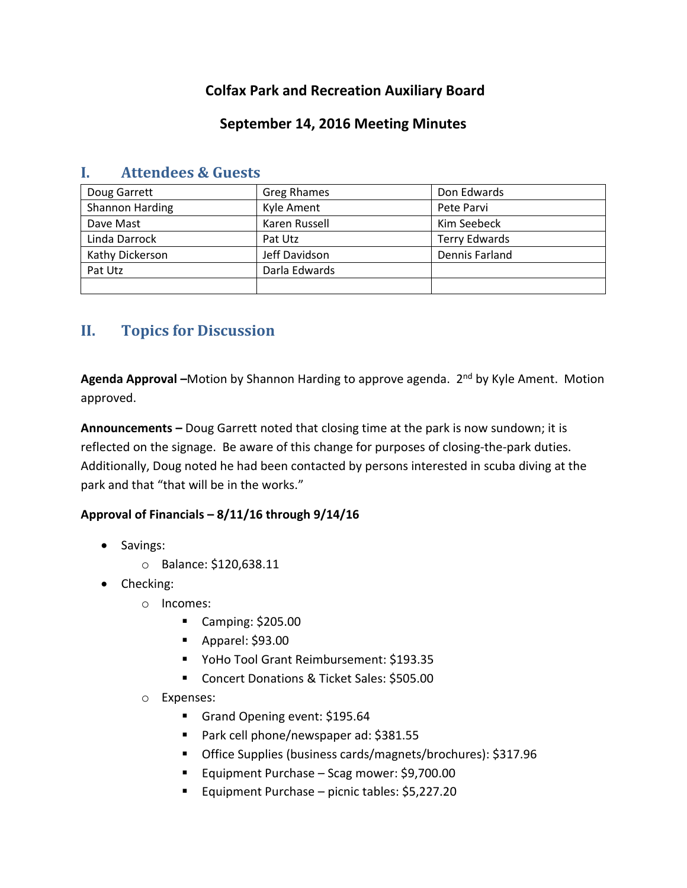# **Colfax Park and Recreation Auxiliary Board**

### **September 14, 2016 Meeting Minutes**

| Doug Garrett    | <b>Greg Rhames</b> | Don Edwards          |
|-----------------|--------------------|----------------------|
| Shannon Harding | Kyle Ament         | Pete Parvi           |
| Dave Mast       | Karen Russell      | Kim Seebeck          |
| Linda Darrock   | Pat Utz            | <b>Terry Edwards</b> |
| Kathy Dickerson | Jeff Davidson      | Dennis Farland       |
| Pat Utz         | Darla Edwards      |                      |
|                 |                    |                      |

### **I. Attendees & Guests**

# **II. Topics for Discussion**

**Agenda Approval –**Motion by Shannon Harding to approve agenda. 2nd by Kyle Ament. Motion approved.

**Announcements –** Doug Garrett noted that closing time at the park is now sundown; it is reflected on the signage. Be aware of this change for purposes of closing-the-park duties. Additionally, Doug noted he had been contacted by persons interested in scuba diving at the park and that "that will be in the works."

#### **Approval of Financials – 8/11/16 through 9/14/16**

- Savings:
	- o Balance: \$120,638.11
- Checking:
	- o Incomes:
		- Camping: \$205.00
		- Apparel: \$93.00
		- YoHo Tool Grant Reimbursement: \$193.35
		- Concert Donations & Ticket Sales: \$505.00
	- o Expenses:
		- Grand Opening event: \$195.64
		- Park cell phone/newspaper ad: \$381.55
		- Office Supplies (business cards/magnets/brochures): \$317.96
		- Equipment Purchase Scag mower: \$9,700.00
		- Equipment Purchase picnic tables: \$5,227.20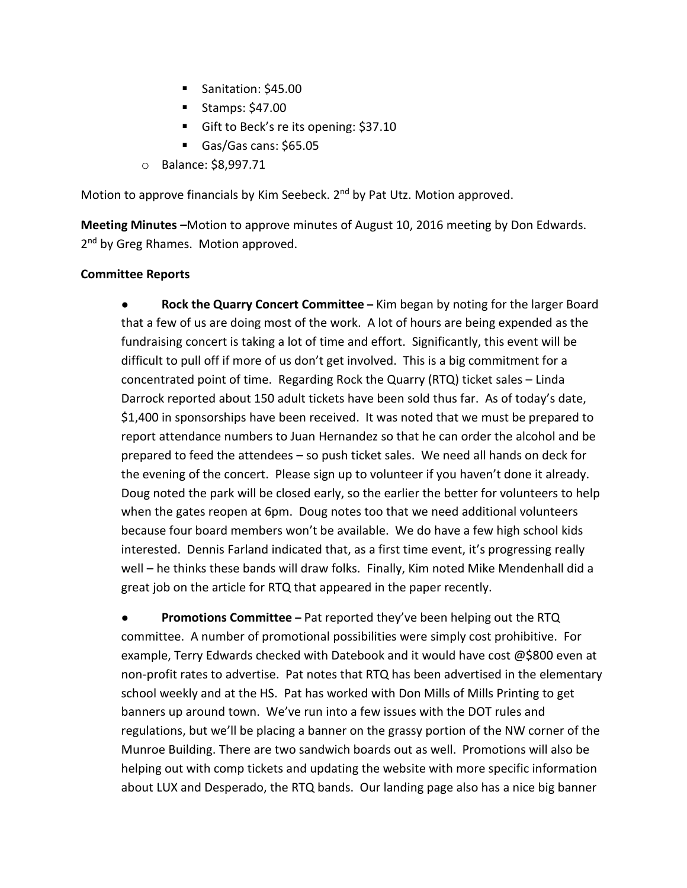- Sanitation: \$45.00
- Stamps:  $$47.00$
- Gift to Beck's re its opening: \$37.10
- Gas/Gas cans: \$65.05
- o Balance: \$8,997.71

Motion to approve financials by Kim Seebeck. 2<sup>nd</sup> by Pat Utz. Motion approved.

**Meeting Minutes –**Motion to approve minutes of August 10, 2016 meeting by Don Edwards. 2<sup>nd</sup> by Greg Rhames. Motion approved.

#### **Committee Reports**

● **Rock the Quarry Concert Committee –** Kim began by noting for the larger Board that a few of us are doing most of the work. A lot of hours are being expended as the fundraising concert is taking a lot of time and effort. Significantly, this event will be difficult to pull off if more of us don't get involved. This is a big commitment for a concentrated point of time. Regarding Rock the Quarry (RTQ) ticket sales – Linda Darrock reported about 150 adult tickets have been sold thus far. As of today's date, \$1,400 in sponsorships have been received. It was noted that we must be prepared to report attendance numbers to Juan Hernandez so that he can order the alcohol and be prepared to feed the attendees – so push ticket sales. We need all hands on deck for the evening of the concert. Please sign up to volunteer if you haven't done it already. Doug noted the park will be closed early, so the earlier the better for volunteers to help when the gates reopen at 6pm. Doug notes too that we need additional volunteers because four board members won't be available. We do have a few high school kids interested. Dennis Farland indicated that, as a first time event, it's progressing really well – he thinks these bands will draw folks. Finally, Kim noted Mike Mendenhall did a great job on the article for RTQ that appeared in the paper recently.

**Promotions Committee** – Pat reported they've been helping out the RTQ committee. A number of promotional possibilities were simply cost prohibitive. For example, Terry Edwards checked with Datebook and it would have cost @\$800 even at non-profit rates to advertise. Pat notes that RTQ has been advertised in the elementary school weekly and at the HS. Pat has worked with Don Mills of Mills Printing to get banners up around town. We've run into a few issues with the DOT rules and regulations, but we'll be placing a banner on the grassy portion of the NW corner of the Munroe Building. There are two sandwich boards out as well. Promotions will also be helping out with comp tickets and updating the website with more specific information about LUX and Desperado, the RTQ bands. Our landing page also has a nice big banner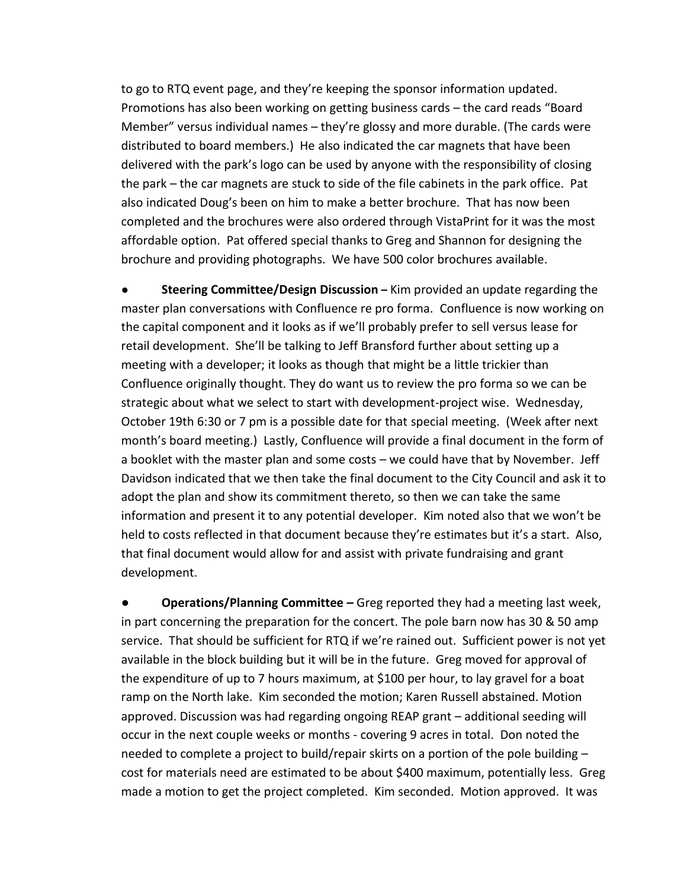to go to RTQ event page, and they're keeping the sponsor information updated. Promotions has also been working on getting business cards – the card reads "Board Member" versus individual names – they're glossy and more durable. (The cards were distributed to board members.) He also indicated the car magnets that have been delivered with the park's logo can be used by anyone with the responsibility of closing the park – the car magnets are stuck to side of the file cabinets in the park office. Pat also indicated Doug's been on him to make a better brochure. That has now been completed and the brochures were also ordered through VistaPrint for it was the most affordable option. Pat offered special thanks to Greg and Shannon for designing the brochure and providing photographs. We have 500 color brochures available.

**Steering Committee/Design Discussion** – Kim provided an update regarding the master plan conversations with Confluence re pro forma. Confluence is now working on the capital component and it looks as if we'll probably prefer to sell versus lease for retail development. She'll be talking to Jeff Bransford further about setting up a meeting with a developer; it looks as though that might be a little trickier than Confluence originally thought. They do want us to review the pro forma so we can be strategic about what we select to start with development-project wise. Wednesday, October 19th 6:30 or 7 pm is a possible date for that special meeting. (Week after next month's board meeting.) Lastly, Confluence will provide a final document in the form of a booklet with the master plan and some costs – we could have that by November. Jeff Davidson indicated that we then take the final document to the City Council and ask it to adopt the plan and show its commitment thereto, so then we can take the same information and present it to any potential developer. Kim noted also that we won't be held to costs reflected in that document because they're estimates but it's a start. Also, that final document would allow for and assist with private fundraising and grant development.

**● Operations/Planning Committee –** Greg reported they had a meeting last week, in part concerning the preparation for the concert. The pole barn now has 30 & 50 amp service. That should be sufficient for RTQ if we're rained out. Sufficient power is not yet available in the block building but it will be in the future. Greg moved for approval of the expenditure of up to 7 hours maximum, at \$100 per hour, to lay gravel for a boat ramp on the North lake. Kim seconded the motion; Karen Russell abstained. Motion approved. Discussion was had regarding ongoing REAP grant – additional seeding will occur in the next couple weeks or months - covering 9 acres in total. Don noted the needed to complete a project to build/repair skirts on a portion of the pole building – cost for materials need are estimated to be about \$400 maximum, potentially less. Greg made a motion to get the project completed. Kim seconded. Motion approved. It was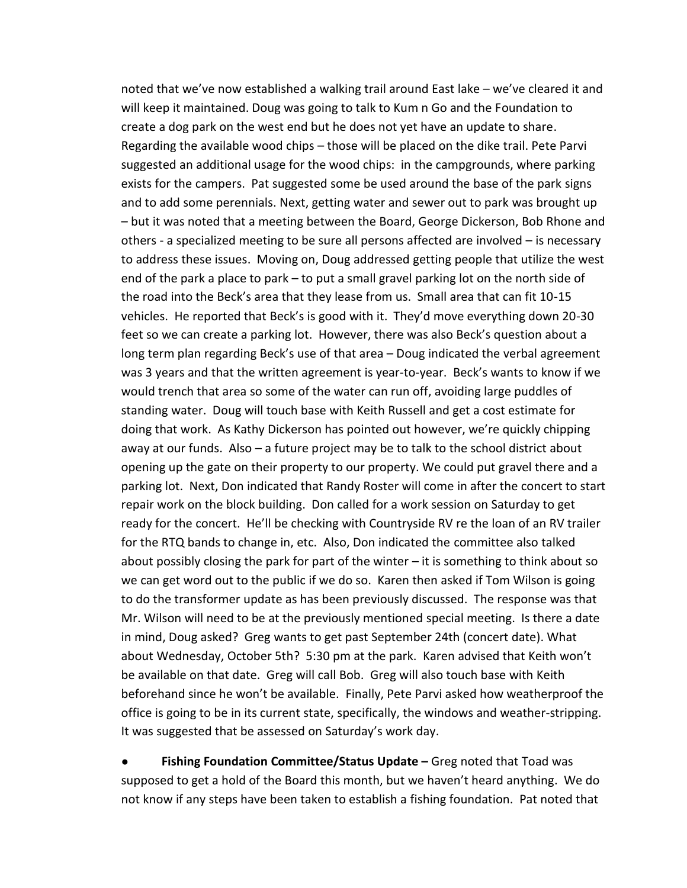noted that we've now established a walking trail around East lake – we've cleared it and will keep it maintained. Doug was going to talk to Kum n Go and the Foundation to create a dog park on the west end but he does not yet have an update to share. Regarding the available wood chips – those will be placed on the dike trail. Pete Parvi suggested an additional usage for the wood chips: in the campgrounds, where parking exists for the campers. Pat suggested some be used around the base of the park signs and to add some perennials. Next, getting water and sewer out to park was brought up – but it was noted that a meeting between the Board, George Dickerson, Bob Rhone and others - a specialized meeting to be sure all persons affected are involved – is necessary to address these issues. Moving on, Doug addressed getting people that utilize the west end of the park a place to park – to put a small gravel parking lot on the north side of the road into the Beck's area that they lease from us. Small area that can fit 10-15 vehicles. He reported that Beck's is good with it. They'd move everything down 20-30 feet so we can create a parking lot. However, there was also Beck's question about a long term plan regarding Beck's use of that area – Doug indicated the verbal agreement was 3 years and that the written agreement is year-to-year. Beck's wants to know if we would trench that area so some of the water can run off, avoiding large puddles of standing water. Doug will touch base with Keith Russell and get a cost estimate for doing that work. As Kathy Dickerson has pointed out however, we're quickly chipping away at our funds. Also – a future project may be to talk to the school district about opening up the gate on their property to our property. We could put gravel there and a parking lot. Next, Don indicated that Randy Roster will come in after the concert to start repair work on the block building. Don called for a work session on Saturday to get ready for the concert. He'll be checking with Countryside RV re the loan of an RV trailer for the RTQ bands to change in, etc. Also, Don indicated the committee also talked about possibly closing the park for part of the winter  $-$  it is something to think about so we can get word out to the public if we do so. Karen then asked if Tom Wilson is going to do the transformer update as has been previously discussed. The response was that Mr. Wilson will need to be at the previously mentioned special meeting. Is there a date in mind, Doug asked? Greg wants to get past September 24th (concert date). What about Wednesday, October 5th? 5:30 pm at the park. Karen advised that Keith won't be available on that date. Greg will call Bob. Greg will also touch base with Keith beforehand since he won't be available. Finally, Pete Parvi asked how weatherproof the office is going to be in its current state, specifically, the windows and weather-stripping. It was suggested that be assessed on Saturday's work day.

**Fishing Foundation Committee/Status Update** – Greg noted that Toad was supposed to get a hold of the Board this month, but we haven't heard anything. We do not know if any steps have been taken to establish a fishing foundation. Pat noted that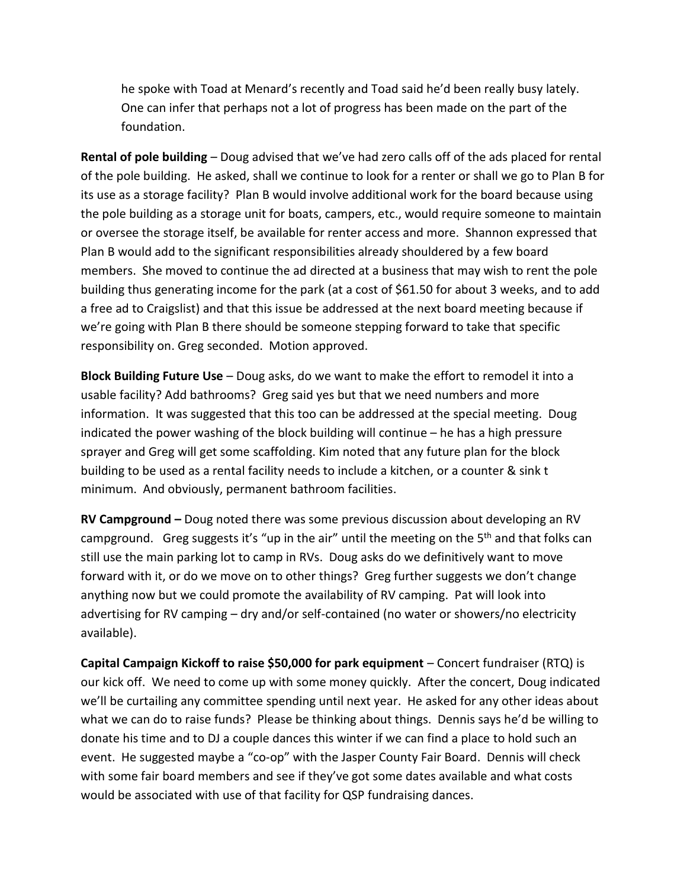he spoke with Toad at Menard's recently and Toad said he'd been really busy lately. One can infer that perhaps not a lot of progress has been made on the part of the foundation.

**Rental of pole building** – Doug advised that we've had zero calls off of the ads placed for rental of the pole building. He asked, shall we continue to look for a renter or shall we go to Plan B for its use as a storage facility? Plan B would involve additional work for the board because using the pole building as a storage unit for boats, campers, etc., would require someone to maintain or oversee the storage itself, be available for renter access and more. Shannon expressed that Plan B would add to the significant responsibilities already shouldered by a few board members. She moved to continue the ad directed at a business that may wish to rent the pole building thus generating income for the park (at a cost of \$61.50 for about 3 weeks, and to add a free ad to Craigslist) and that this issue be addressed at the next board meeting because if we're going with Plan B there should be someone stepping forward to take that specific responsibility on. Greg seconded. Motion approved.

**Block Building Future Use** – Doug asks, do we want to make the effort to remodel it into a usable facility? Add bathrooms? Greg said yes but that we need numbers and more information. It was suggested that this too can be addressed at the special meeting. Doug indicated the power washing of the block building will continue – he has a high pressure sprayer and Greg will get some scaffolding. Kim noted that any future plan for the block building to be used as a rental facility needs to include a kitchen, or a counter & sink t minimum. And obviously, permanent bathroom facilities.

**RV Campground –** Doug noted there was some previous discussion about developing an RV campground. Greg suggests it's "up in the air" until the meeting on the  $5<sup>th</sup>$  and that folks can still use the main parking lot to camp in RVs. Doug asks do we definitively want to move forward with it, or do we move on to other things? Greg further suggests we don't change anything now but we could promote the availability of RV camping. Pat will look into advertising for RV camping – dry and/or self-contained (no water or showers/no electricity available).

**Capital Campaign Kickoff to raise \$50,000 for park equipment** – Concert fundraiser (RTQ) is our kick off. We need to come up with some money quickly. After the concert, Doug indicated we'll be curtailing any committee spending until next year. He asked for any other ideas about what we can do to raise funds? Please be thinking about things. Dennis says he'd be willing to donate his time and to DJ a couple dances this winter if we can find a place to hold such an event. He suggested maybe a "co-op" with the Jasper County Fair Board. Dennis will check with some fair board members and see if they've got some dates available and what costs would be associated with use of that facility for QSP fundraising dances.